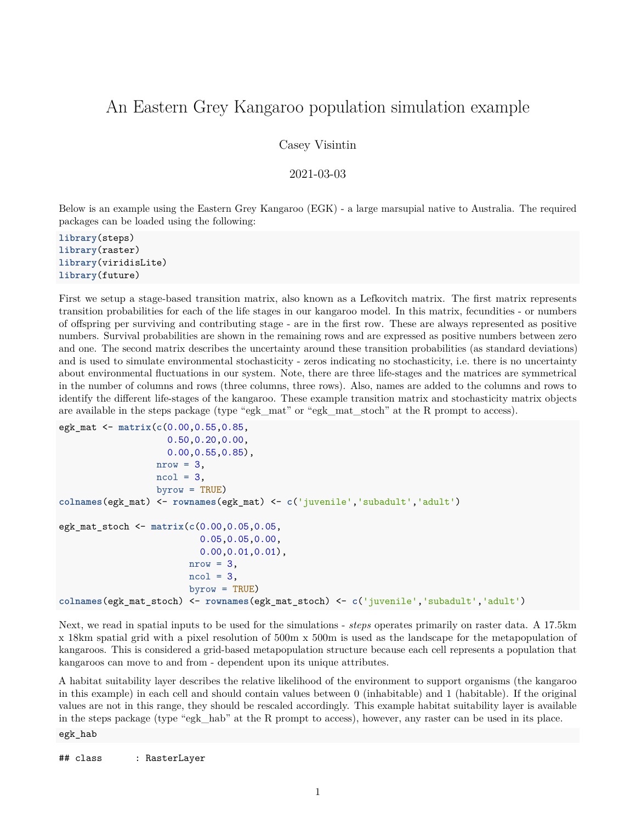## An Eastern Grey Kangaroo population simulation example

Casey Visintin

2021-03-03

Below is an example using the Eastern Grey Kangaroo (EGK) - a large marsupial native to Australia. The required packages can be loaded using the following:

**library**(steps) **library**(raster) **library**(viridisLite) **library**(future)

First we setup a stage-based transition matrix, also known as a Lefkovitch matrix. The first matrix represents transition probabilities for each of the life stages in our kangaroo model. In this matrix, fecundities - or numbers of offspring per surviving and contributing stage - are in the first row. These are always represented as positive numbers. Survival probabilities are shown in the remaining rows and are expressed as positive numbers between zero and one. The second matrix describes the uncertainty around these transition probabilities (as standard deviations) and is used to simulate environmental stochasticity - zeros indicating no stochasticity, i.e. there is no uncertainty about environmental fluctuations in our system. Note, there are three life-stages and the matrices are symmetrical in the number of columns and rows (three columns, three rows). Also, names are added to the columns and rows to identify the different life-stages of the kangaroo. These example transition matrix and stochasticity matrix objects are available in the steps package (type "egk\_mat" or "egk\_mat\_stoch" at the R prompt to access).

```
egk_mat <- matrix(c(0.00,0.55,0.85,
                    0.50,0.20,0.00,
                    0.00,0.55,0.85),
                  nrow = 3,
                  ncol = 3,
                  byrow = TRUE)
colnames(egk_mat) <- rownames(egk_mat) <- c('juvenile','subadult','adult')
egk_mat_stoch <- matrix(c(0.00,0.05,0.05,
                          0.05,0.05,0.00,
                          0.00,0.01,0.01),
                        nrow = 3,
                        ncol = 3,
                        byrow = TRUE)
colnames(egk_mat_stoch) <- rownames(egk_mat_stoch) <- c('juvenile','subadult','adult')
```
Next, we read in spatial inputs to be used for the simulations - *steps* operates primarily on raster data. A 17.5km x 18km spatial grid with a pixel resolution of 500m x 500m is used as the landscape for the metapopulation of kangaroos. This is considered a grid-based metapopulation structure because each cell represents a population that kangaroos can move to and from - dependent upon its unique attributes.

A habitat suitability layer describes the relative likelihood of the environment to support organisms (the kangaroo in this example) in each cell and should contain values between 0 (inhabitable) and 1 (habitable). If the original values are not in this range, they should be rescaled accordingly. This example habitat suitability layer is available in the steps package (type "egk\_hab" at the R prompt to access), however, any raster can be used in its place.

egk\_hab

```
## class : RasterLayer
```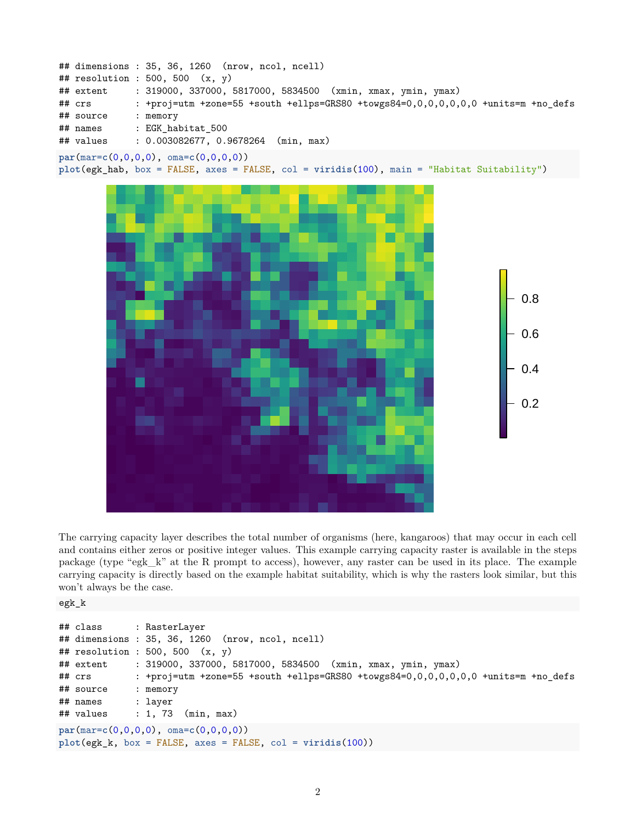



The carrying capacity layer describes the total number of organisms (here, kangaroos) that may occur in each cell and contains either zeros or positive integer values. This example carrying capacity raster is available in the steps package (type "egk\_k" at the R prompt to access), however, any raster can be used in its place. The example carrying capacity is directly based on the example habitat suitability, which is why the rasters look similar, but this won't always be the case.

```
egk_k
```

```
## class : RasterLayer
## dimensions : 35, 36, 1260 (nrow, ncol, ncell)
## resolution : 500, 500 (x, y)
## extent : 319000, 337000, 5817000, 5834500 (xmin, xmax, ymin, ymax)
## crs : +proj=utm +zone=55 +south +ellps=GRS80 +towgs84=0,0,0,0,0,0,0 +units=m +no_defs
## source : memory
## names : layer
## values : 1, 73 (min, max)
par(mar=c(0,0,0,0), oma=c(0,0,0,0))
plot(egk_k, box = FALSE, axes = FALSE, col = viridis(100))
```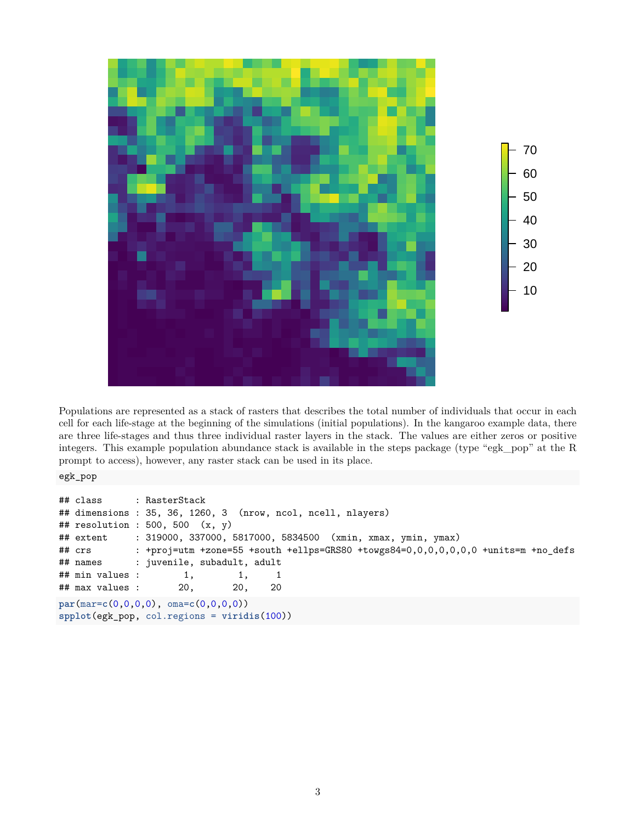

Populations are represented as a stack of rasters that describes the total number of individuals that occur in each cell for each life-stage at the beginning of the simulations (initial populations). In the kangaroo example data, there are three life-stages and thus three individual raster layers in the stack. The values are either zeros or positive integers. This example population abundance stack is available in the steps package (type "egk\_pop" at the R prompt to access), however, any raster stack can be used in its place.

egk\_pop

```
## class : RasterStack
## dimensions : 35, 36, 1260, 3 (nrow, ncol, ncell, nlayers)
## resolution : 500, 500 (x, y)
## extent : 319000, 337000, 5817000, 5834500 (xmin, xmax, ymin, ymax)
## crs : +proj=utm +zone=55 +south +ellps=GRS80 +towgs84=0,0,0,0,0,0,0 +units=m +no_defs
## names : juvenile, subadult, adult
## min values : 1, 1, 1, 1
## max values : 20, 20, 20
par(mar=c(0,0,0,0), oma=c(0,0,0,0))
spplot(egk_pop, col.regions = viridis(100))
```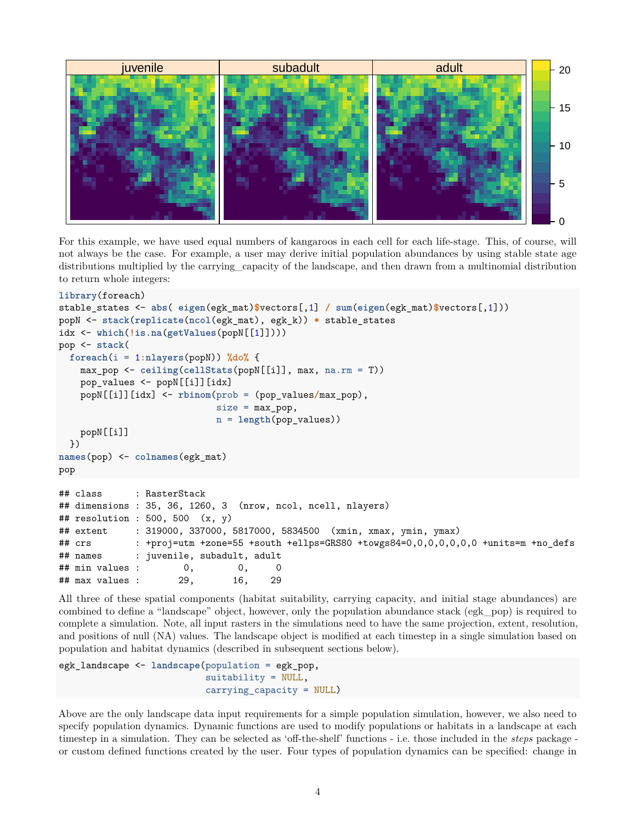

For this example, we have used equal numbers of kangaroos in each cell for each life-stage. This, of course, will not always be the case. For example, a user may derive initial population abundances by using stable state age distributions multiplied by the carrying capacity of the landscape, and then drawn from a multinomial distribution to return whole integers:

```
library(foreach)
stable_states <- abs( eigen(egk_mat)$vectors[,1] / sum(eigen(egk_mat)$vectors[,1]))
popN <- stack(replicate(ncol(egk_mat), egk_k)) * stable_states
idx <- which(!is.na(getValues(popN[[1]])))
pop <- stack(
  foreach(i = 1:nlayers(popN)) %do% {
   max_pop <- ceiling(cellStats(popN[[i]], max, na.rm = T))
   pop_values <- popN[[i]][idx]
   popN[[i]][idx] <- rbinom(prob = (pop_values/max_pop),
                           size = max pop,n = length(pop_values))
   popN[[i]]
  })
names(pop) <- colnames(egk_mat)
pop
## class : RasterStack
## dimensions : 35, 36, 1260, 3 (nrow, ncol, ncell, nlayers)
## resolution : 500, 500 (x, y)## extent : 319000, 337000, 5817000, 5834500 (xmin, xmax, ymin, ymax)
## crs : +proj=utm +zone=55 +south +ellps=GRS80 +towgs84=0,0,0,0,0,0,0 +units=m +no_defs
## names : juvenile, subadult, adult
## min values : 0, 0, 0
## max values : 29, 16, 29
```
All three of these spatial components (habitat suitability, carrying capacity, and initial stage abundances) are combined to define a "landscape" object, however, only the population abundance stack (egk\_pop) is required to complete a simulation. Note, all input rasters in the simulations need to have the same projection, extent, resolution, and positions of null (NA) values. The landscape object is modified at each timestep in a single simulation based on population and habitat dynamics (described in subsequent sections below).

```
egk_landscape <- landscape(population = egk_pop,
                           suitability = NULL,
                           carrying_capacity = NULL)
```
Above are the only landscape data input requirements for a simple population simulation, however, we also need to specify population dynamics. Dynamic functions are used to modify populations or habitats in a landscape at each timestep in a simulation. They can be selected as 'off-the-shelf' functions - i.e. those included in the *steps* package or custom defined functions created by the user. Four types of population dynamics can be specified: change in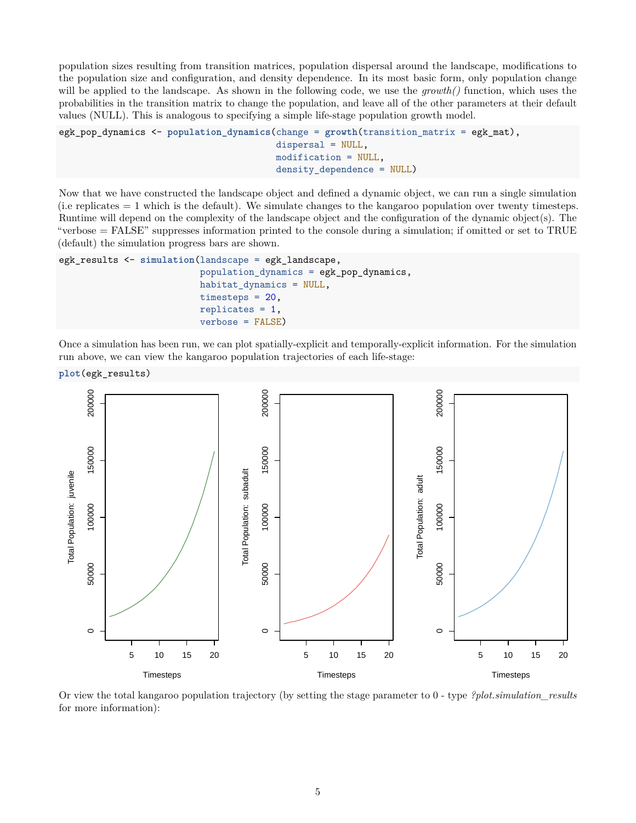population sizes resulting from transition matrices, population dispersal around the landscape, modifications to the population size and configuration, and density dependence. In its most basic form, only population change will be applied to the landscape. As shown in the following code, we use the *growth()* function, which uses the probabilities in the transition matrix to change the population, and leave all of the other parameters at their default values (NULL). This is analogous to specifying a simple life-stage population growth model.

```
egk_pop_dynamics <- population_dynamics(change = growth(transition_matrix = egk_mat),
                                        dispersal = NULL,
                                        modification = NULL,
                                        density_dependence = NULL)
```
Now that we have constructed the landscape object and defined a dynamic object, we can run a single simulation (i.e replicates  $= 1$  which is the default). We simulate changes to the kangaroo population over twenty timesteps. Runtime will depend on the complexity of the landscape object and the configuration of the dynamic object(s). The "verbose = FALSE" suppresses information printed to the console during a simulation; if omitted or set to TRUE (default) the simulation progress bars are shown.

```
egk_results <- simulation(landscape = egk_landscape,
                          population_dynamics = egk_pop_dynamics,
                          habitat_dynamics = NULL,
                          timesteps = 20,
                          replicates = 1,
                          verbose = FALSE)
```
Once a simulation has been run, we can plot spatially-explicit and temporally-explicit information. For the simulation run above, we can view the kangaroo population trajectories of each life-stage:

**plot**(egk\_results)



Or view the total kangaroo population trajectory (by setting the stage parameter to 0 - type *?plot.simulation\_results* for more information):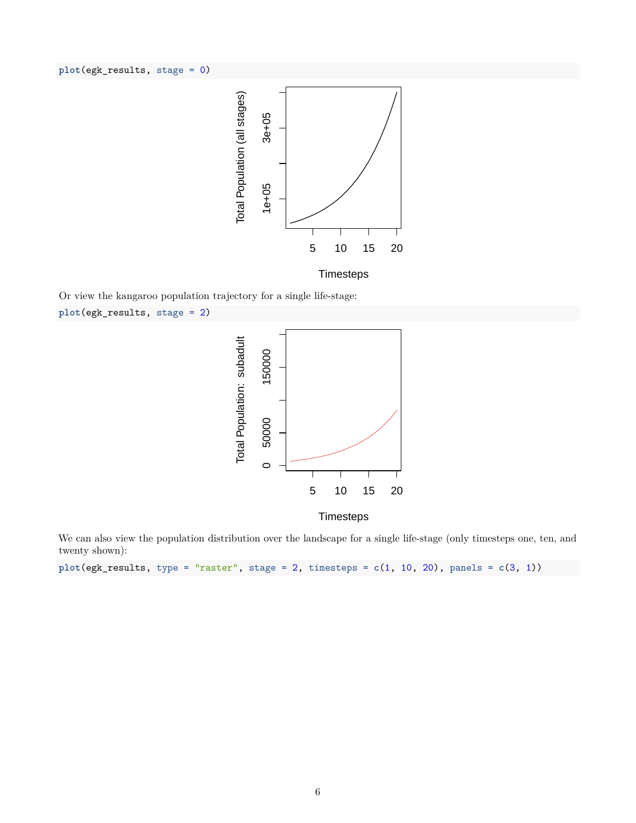**plot**(egk\_results, stage = 0)



**Timesteps** 

Or view the kangaroo population trajectory for a single life-stage:

```
plot(egk_results, stage = 2)
```




We can also view the population distribution over the landscape for a single life-stage (only timesteps one, ten, and twenty shown):

**plot**(egk\_results, type = "raster", stage = 2, timesteps = **c**(1, 10, 20), panels = **c**(3, 1))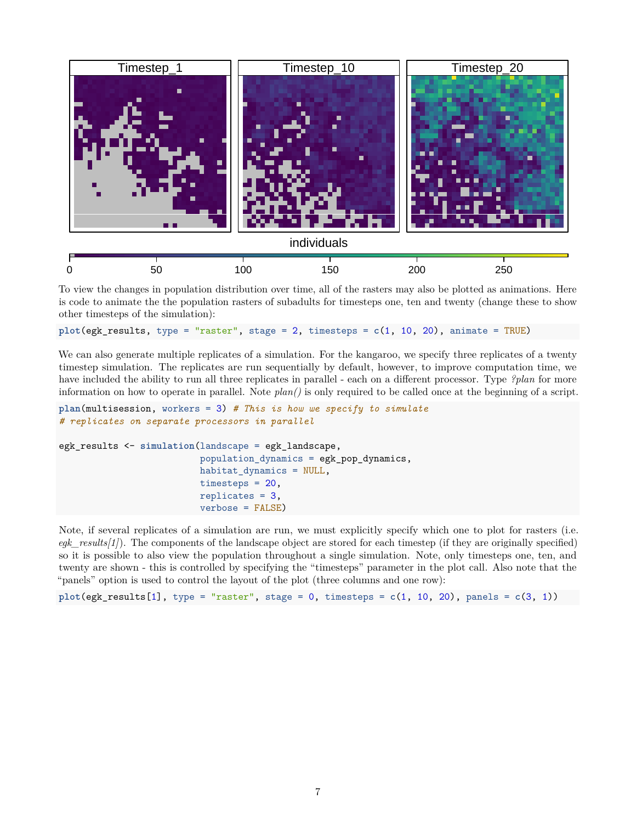

To view the changes in population distribution over time, all of the rasters may also be plotted as animations. Here is code to animate the the population rasters of subadults for timesteps one, ten and twenty (change these to show other timesteps of the simulation):

```
plot(egk_results, type = "raster", stage = 2, timesteps = c(1, 10, 20), animate = TRUE)
```
We can also generate multiple replicates of a simulation. For the kangaroo, we specify three replicates of a twenty timestep simulation. The replicates are run sequentially by default, however, to improve computation time, we have included the ability to run all three replicates in parallel - each on a different processor. Type *?plan* for more information on how to operate in parallel. Note *plan()* is only required to be called once at the beginning of a script.

```
plan(multisession, workers = 3) # This is how we specify to simulate
# replicates on separate processors in parallel
egk_results <- simulation(landscape = egk_landscape,
                          population_dynamics = egk_pop_dynamics,
                          habitat_dynamics = NULL,
                          timesteps = 20,
                          replicates = 3,
                          verbose = FALSE)
```
Note, if several replicates of a simulation are run, we must explicitly specify which one to plot for rasters (i.e. *egk\_results[1]*). The components of the landscape object are stored for each timestep (if they are originally specified) so it is possible to also view the population throughout a single simulation. Note, only timesteps one, ten, and twenty are shown - this is controlled by specifying the "timesteps" parameter in the plot call. Also note that the "panels" option is used to control the layout of the plot (three columns and one row):

```
plot(egk\_results[1], type = "raster", stage = 0, timesteps = c(1, 10, 20), panels = c(3, 1))
```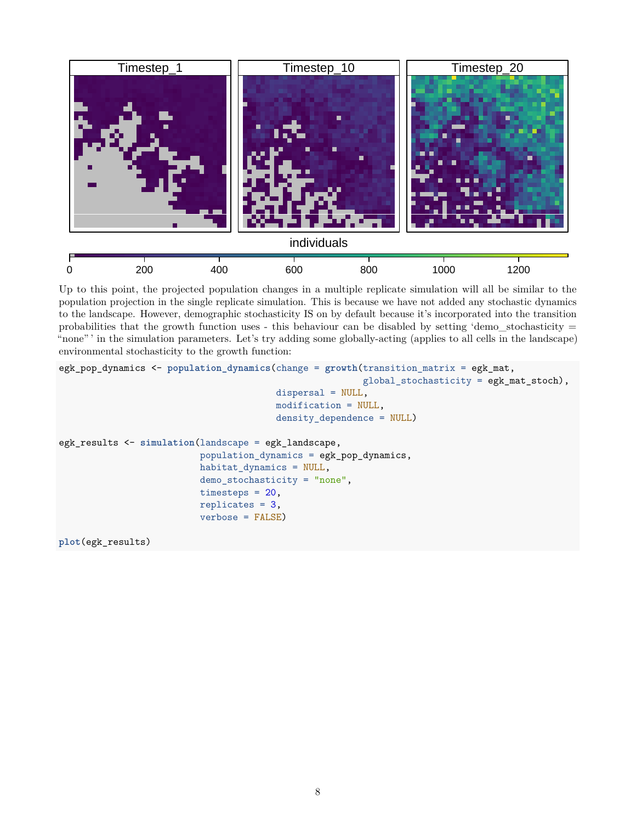

Up to this point, the projected population changes in a multiple replicate simulation will all be similar to the population projection in the single replicate simulation. This is because we have not added any stochastic dynamics to the landscape. However, demographic stochasticity IS on by default because it's incorporated into the transition probabilities that the growth function uses - this behaviour can be disabled by setting 'demo\_stochasticity  $=$ "none" ' in the simulation parameters. Let's try adding some globally-acting (applies to all cells in the landscape) environmental stochasticity to the growth function:

```
egk_pop_dynamics <- population_dynamics(change = growth(transition_matrix = egk_mat,
                                                         global_stochasticity = egk_mat_stoch),
                                        dispersal = NULL,
                                        modification = NULL,
                                        density_dependence = NULL)
egk_results <- simulation(landscape = egk_landscape,
                          population_dynamics = egk_pop_dynamics,
                          habitat_dynamics = NULL,
                          demo_stochasticity = "none",
                          timesteps = 20,
                          replicates = 3,
                          verbose = FALSE)
```
**plot**(egk\_results)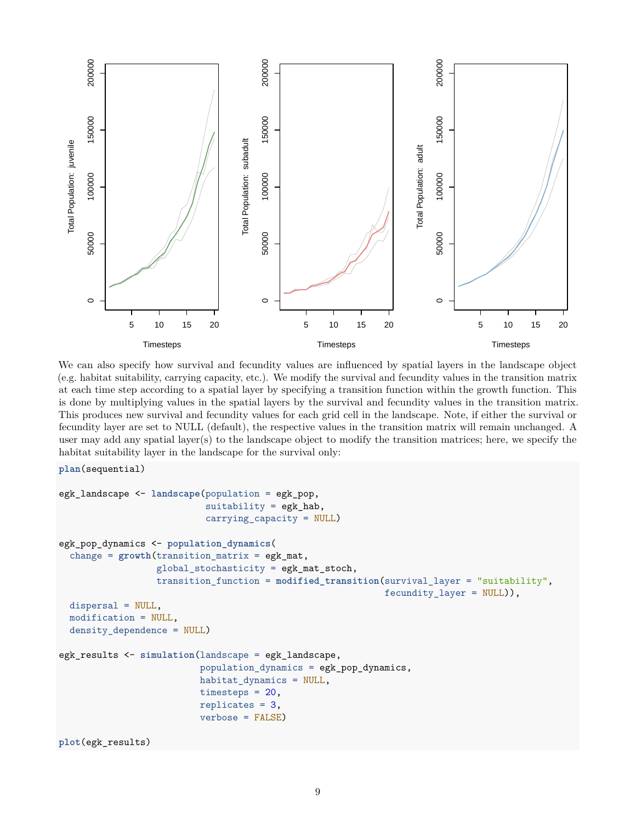

We can also specify how survival and fecundity values are influenced by spatial layers in the landscape object (e.g. habitat suitability, carrying capacity, etc.). We modify the survival and fecundity values in the transition matrix at each time step according to a spatial layer by specifying a transition function within the growth function. This is done by multiplying values in the spatial layers by the survival and fecundity values in the transition matrix. This produces new survival and fecundity values for each grid cell in the landscape. Note, if either the survival or fecundity layer are set to NULL (default), the respective values in the transition matrix will remain unchanged. A user may add any spatial layer(s) to the landscape object to modify the transition matrices; here, we specify the habitat suitability layer in the landscape for the survival only:

```
plan(sequential)
```

```
egk_landscape <- landscape(population = egk_pop,
                           suitability = egk_hab,
                           carrying_capacity = NULL)
egk_pop_dynamics <- population_dynamics(
  change = growth(transition matrix = egk mat,global_stochasticity = egk_mat_stoch,
                  transition_function = modified_transition(survival_layer = "suitability",
                                                             fecundity_layer = NULL)),
  dispersal = NULL,
  modification = NULL,
  density dependence = NULL)
egk_results <- simulation(landscape = egk_landscape,
                          population_dynamics = egk_pop_dynamics,
                          habitat_dynamics = NULL,
                          timesteps = 20,
                          replicates = 3,
                          verbose = FALSE)
plot(egk_results)
```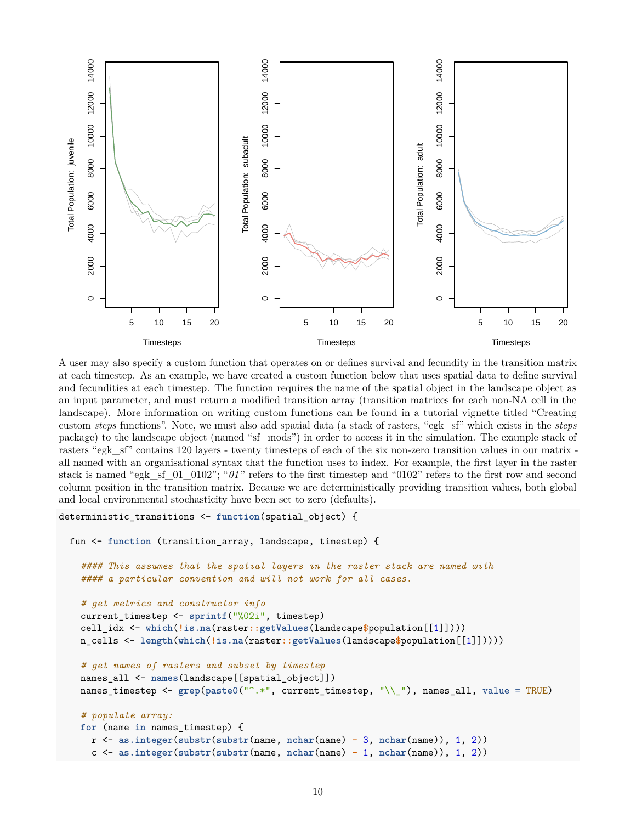

A user may also specify a custom function that operates on or defines survival and fecundity in the transition matrix at each timestep. As an example, we have created a custom function below that uses spatial data to define survival and fecundities at each timestep. The function requires the name of the spatial object in the landscape object as an input parameter, and must return a modified transition array (transition matrices for each non-NA cell in the landscape). More information on writing custom functions can be found in a tutorial vignette titled "Creating custom *steps* functions". Note, we must also add spatial data (a stack of rasters, "egk\_sf" which exists in the *steps* package) to the landscape object (named "sf\_mods") in order to access it in the simulation. The example stack of rasters "egk\_sf" contains 120 layers - twenty timesteps of each of the six non-zero transition values in our matrix all named with an organisational syntax that the function uses to index. For example, the first layer in the raster stack is named "egk\_sf\_01\_0102"; "*01* " refers to the first timestep and "0102" refers to the first row and second column position in the transition matrix. Because we are deterministically providing transition values, both global and local environmental stochasticity have been set to zero (defaults).

```
deterministic_transitions <- function(spatial_object) {
 fun <- function (transition_array, landscape, timestep) {
    #### This assumes that the spatial layers in the raster stack are named with
    #### a particular convention and will not work for all cases.
    # get metrics and constructor info
    current_timestep <- sprintf("%02i", timestep)
    cell_idx <- which(!is.na(raster::getValues(landscape$population[[1]])))
    n_cells <- length(which(!is.na(raster::getValues(landscape$population[[1]]))))
    # get names of rasters and subset by timestep
   names_all <- names(landscape[[spatial_object]])
    names_timestep <- grep(paste0("^.*", current_timestep, "\\_"), names_all, value = TRUE)
    # populate array:
    for (name in names_timestep) {
      r <- as.integer(substr(substr(name, nchar(name) - 3, nchar(name)), 1, 2))
      c <- as.integer(substr(substr(name, nchar(name) - 1, nchar(name)), 1, 2))
```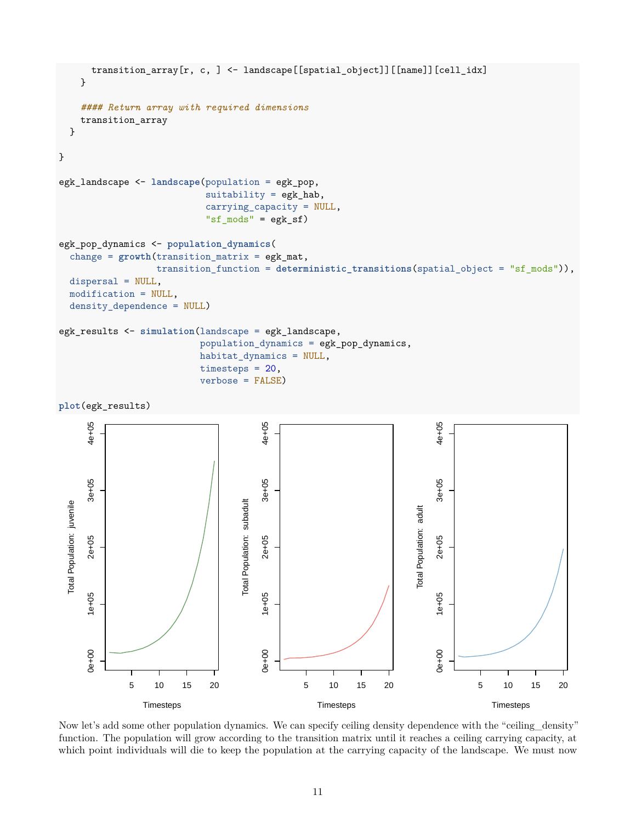

Now let's add some other population dynamics. We can specify ceiling density dependence with the "ceiling density" function. The population will grow according to the transition matrix until it reaches a ceiling carrying capacity, at which point individuals will die to keep the population at the carrying capacity of the landscape. We must now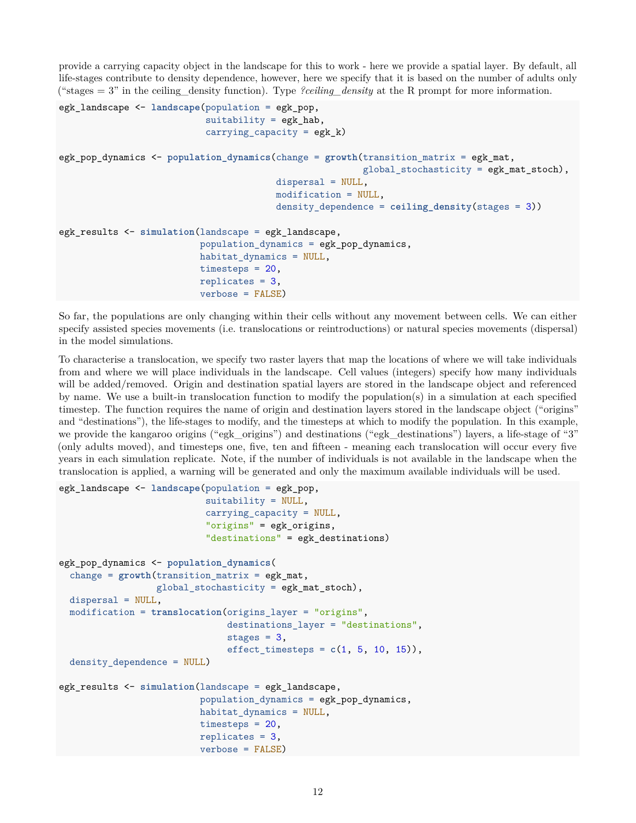provide a carrying capacity object in the landscape for this to work - here we provide a spatial layer. By default, all life-stages contribute to density dependence, however, here we specify that it is based on the number of adults only ("stages = 3" in the ceiling\_density function). Type *?ceiling\_density* at the R prompt for more information.

```
egk_landscape <- landscape(population = egk_pop,
                           suitability = egk_hab,
                           carrying_capacity = egk_k)
egk_pop_dynamics <- population_dynamics(change = growth(transition_matrix = egk_mat,
                                                         global_stochasticity = e g k_matrix stoch,dispersal = NULL,
                                         modification = NULL,
                                         density_dependence = ceiling_density(stages = 3))
egk_results <- simulation(landscape = egk_landscape,
                          population dynamics = egk pop dynamics,
                          habitat_dynamics = NULL,
                          timesteps = 20,
                          replicates = 3,
                          verbose = FALSE)
```
So far, the populations are only changing within their cells without any movement between cells. We can either specify assisted species movements (i.e. translocations or reintroductions) or natural species movements (dispersal) in the model simulations.

To characterise a translocation, we specify two raster layers that map the locations of where we will take individuals from and where we will place individuals in the landscape. Cell values (integers) specify how many individuals will be added/removed. Origin and destination spatial layers are stored in the landscape object and referenced by name. We use a built-in translocation function to modify the population(s) in a simulation at each specified timestep. The function requires the name of origin and destination layers stored in the landscape object ("origins" and "destinations"), the life-stages to modify, and the timesteps at which to modify the population. In this example, we provide the kangaroo origins ("egk\_origins") and destinations ("egk\_destinations") layers, a life-stage of "3" (only adults moved), and timesteps one, five, ten and fifteen - meaning each translocation will occur every five years in each simulation replicate. Note, if the number of individuals is not available in the landscape when the translocation is applied, a warning will be generated and only the maximum available individuals will be used.

```
egk_landscape <- landscape(population = egk_pop,
                           suitability = NULL,
                           carrying_capacity = NULL,
                           "origins" = egk_origins,
                           "destinations" = egk_destinations)
egk_pop_dynamics <- population_dynamics(
  change = growth(transition_matrix = egk_mat,
                  global_stochasticity = egk_mat_stoch),
  dispersal = NULL,
 modification = translocation(origins_layer = "origins",
                               destinations_layer = "destinations",
                               stages = 3,
                               effect_timesteps = c(1, 5, 10, 15)),
 density_dependence = NULL)
egk_results <- simulation(landscape = egk_landscape,
                          population_dynamics = egk_pop_dynamics,
                          habitat_dynamics = NULL,
                          timesteps = 20,
                          replicates = 3,
                          verbose = FALSE)
```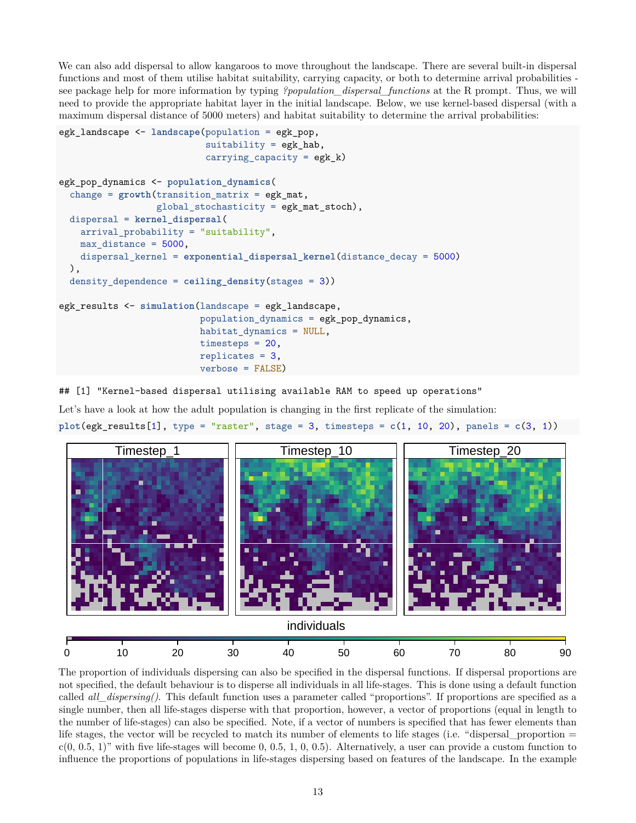We can also add dispersal to allow kangaroos to move throughout the landscape. There are several built-in dispersal functions and most of them utilise habitat suitability, carrying capacity, or both to determine arrival probabilities see package help for more information by typing *?population\_dispersal\_functions* at the R prompt. Thus, we will need to provide the appropriate habitat layer in the initial landscape. Below, we use kernel-based dispersal (with a maximum dispersal distance of 5000 meters) and habitat suitability to determine the arrival probabilities:

```
egk_landscape <- landscape(population = egk_pop,
                           suitability = egk hab,
                           carrying_capacity = egk_k)
egk_pop_dynamics <- population_dynamics(
  change = growth(transition_matrix = egk_mat,
                  global_stochasticity = egk_mat_stoch),
 dispersal = kernel_dispersal(
    arrival_probability = "suitability",
    max distance = 5000,
    dispersal_kernel = exponential_dispersal_kernel(distance_decay = 5000)
 ),
  density dependence = \text{ceiling density}(stages = 3))
egk_results <- simulation(landscape = egk_landscape,
                          population_dynamics = egk_pop_dynamics,
                          habitat_dynamics = NULL,
                          timesteps = 20,
                          replicates = 3,
                          verbose = FALSE)
```
## [1] "Kernel-based dispersal utilising available RAM to speed up operations"

Let's have a look at how the adult population is changing in the first replicate of the simulation:  $plot(egk\_results[1], type = "raster", stage = 3, timesteps = c(1, 10, 20), panels = c(3, 1))$ 



The proportion of individuals dispersing can also be specified in the dispersal functions. If dispersal proportions are not specified, the default behaviour is to disperse all individuals in all life-stages. This is done using a default function called *all\_dispersing()*. This default function uses a parameter called "proportions". If proportions are specified as a single number, then all life-stages disperse with that proportion, however, a vector of proportions (equal in length to the number of life-stages) can also be specified. Note, if a vector of numbers is specified that has fewer elements than life stages, the vector will be recycled to match its number of elements to life stages (i.e. "dispersal proportion  $=$  $c(0, 0.5, 1)$ " with five life-stages will become 0, 0.5, 1, 0, 0.5). Alternatively, a user can provide a custom function to influence the proportions of populations in life-stages dispersing based on features of the landscape. In the example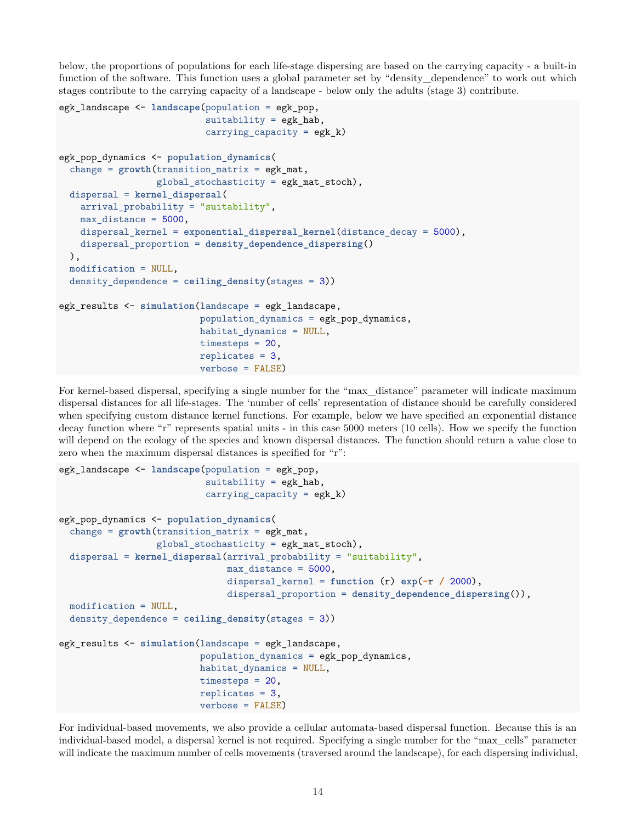below, the proportions of populations for each life-stage dispersing are based on the carrying capacity - a built-in function of the software. This function uses a global parameter set by "density\_dependence" to work out which stages contribute to the carrying capacity of a landscape - below only the adults (stage 3) contribute.

```
egk_landscape <- landscape(population = egk_pop,
                           suitability = egk_hab,
                           carrying_capacity = egk_k)
egk_pop_dynamics <- population_dynamics(
  change = growth(transition_matrix = egk_matrix,global_stochasticity = egk_mat_stoch),
 dispersal = kernel_dispersal(
    arrival_probability = "suitability",
    max distance = 5000,
    dispersal_kernel = exponential_dispersal_kernel(distance_decay = 5000),
   dispersal_proportion = density_dependence_dispersing()
 ),
 modification = NULL,
 density_dependence = ceiling_density(stages = 3))
egk_results <- simulation(landscape = egk_landscape,
                          population_dynamics = egk_pop_dynamics,
                          habitat_dynamics = NULL,
                          timesteps = 20,
                          replicates = 3,
                          verbose = FALSE)
```
For kernel-based dispersal, specifying a single number for the "max\_distance" parameter will indicate maximum dispersal distances for all life-stages. The 'number of cells' representation of distance should be carefully considered when specifying custom distance kernel functions. For example, below we have specified an exponential distance decay function where "r" represents spatial units - in this case 5000 meters (10 cells). How we specify the function will depend on the ecology of the species and known dispersal distances. The function should return a value close to zero when the maximum dispersal distances is specified for "r":

```
egk_landscape <- landscape(population = egk_pop,
                           suit = egk_hab,carrying_capacity = egk_k)egk_pop_dynamics <- population_dynamics(
  change = growth(transition_matrix = egk_matrix,global_stochasticity = egk_mat_stoch),
  dispersal = kernel_dispersal(arrival_probability = "suitability",
                               max_distance = 5000,
                               dispersal_kernel = function (r) exp(-r / 2000),
                               dispersal_proportion = density_dependence_dispersing()),
 modification = NULL,
 density_dependence = ceiling_density(stages = 3))
egk_results <- simulation(landscape = egk_landscape,
                          population_dynamics = egk_pop_dynamics,
                          habitat_dynamics = NULL,
                          timesteps = 20,
                          replicates = 3,
                          verbose = FALSE)
```
For individual-based movements, we also provide a cellular automata-based dispersal function. Because this is an individual-based model, a dispersal kernel is not required. Specifying a single number for the "max\_cells" parameter will indicate the maximum number of cells movements (traversed around the landscape), for each dispersing individual,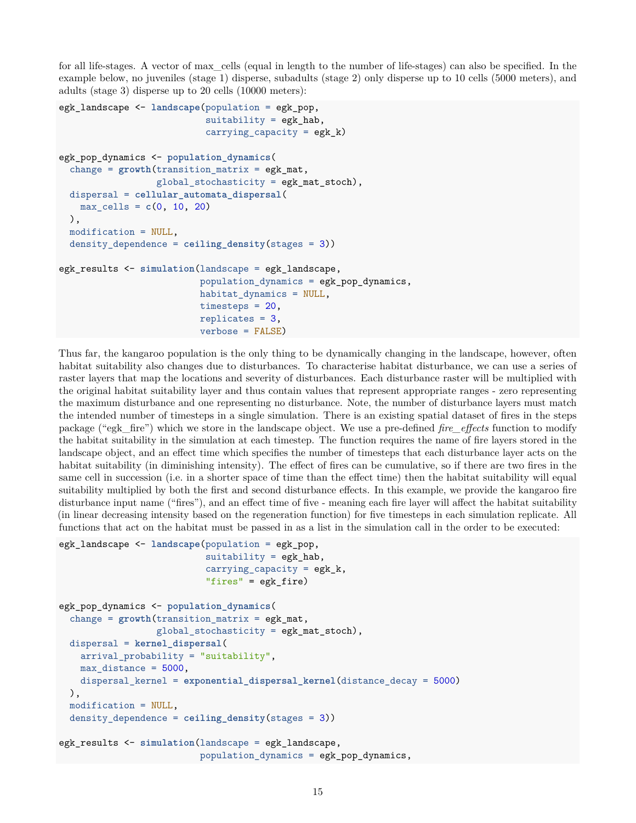for all life-stages. A vector of max\_cells (equal in length to the number of life-stages) can also be specified. In the example below, no juveniles (stage 1) disperse, subadults (stage 2) only disperse up to 10 cells (5000 meters), and adults (stage 3) disperse up to 20 cells (10000 meters):

```
egk_landscape <- landscape(population = egk_pop,
                            suitability = egk_hab,
                            carrying_capacity = egk_k)
egk_pop_dynamics <- population_dynamics(
  change = growth(transition_matrix = egk_matrix,global_stochasticity = egk_mat_stoch),
 dispersal = cellular_automata_dispersal(
   max_{c} cells = c(0, 10, 20)),
 modification = NULL,
 density dependence = \text{ceiling density}(stages = 3))
egk_results <- simulation(landscape = egk_landscape,
                           population dynamics = egk pop dynamics,
                           habitat_dynamics = NULL,
                           timesteps = 20,
                           replicates = 3,
                           verbose = FALSE)
```
Thus far, the kangaroo population is the only thing to be dynamically changing in the landscape, however, often habitat suitability also changes due to disturbances. To characterise habitat disturbance, we can use a series of raster layers that map the locations and severity of disturbances. Each disturbance raster will be multiplied with the original habitat suitability layer and thus contain values that represent appropriate ranges - zero representing the maximum disturbance and one representing no disturbance. Note, the number of disturbance layers must match the intended number of timesteps in a single simulation. There is an existing spatial dataset of fires in the steps package ("egk\_fire") which we store in the landscape object. We use a pre-defined *fire\_effects* function to modify the habitat suitability in the simulation at each timestep. The function requires the name of fire layers stored in the landscape object, and an effect time which specifies the number of timesteps that each disturbance layer acts on the habitat suitability (in diminishing intensity). The effect of fires can be cumulative, so if there are two fires in the same cell in succession (i.e. in a shorter space of time than the effect time) then the habitat suitability will equal suitability multiplied by both the first and second disturbance effects. In this example, we provide the kangaroo fire disturbance input name ("fires"), and an effect time of five - meaning each fire layer will affect the habitat suitability (in linear decreasing intensity based on the regeneration function) for five timesteps in each simulation replicate. All functions that act on the habitat must be passed in as a list in the simulation call in the order to be executed:

```
egk_landscape <- landscape(population = egk_pop,
                           suitability = egk hab,
                           carrying_capacity = egk_k,"fires" = egk fire)
egk_pop_dynamics <- population_dynamics(
  change = growth(transition matrix = egk mat,global_stochasticity = egk_mat_stoch),
 dispersal = kernel_dispersal(
    arrival_probability = "suitability",
   max_distance = 5000,
    dispersal_kernel = exponential_dispersal_kernel(distance_decay = 5000)
  ),
 modification = NULL,
 density_dependence = ceiling_density(stages = 3))
egk_results <- simulation(landscape = egk_landscape,
                          population_dynamics = egk_pop_dynamics,
```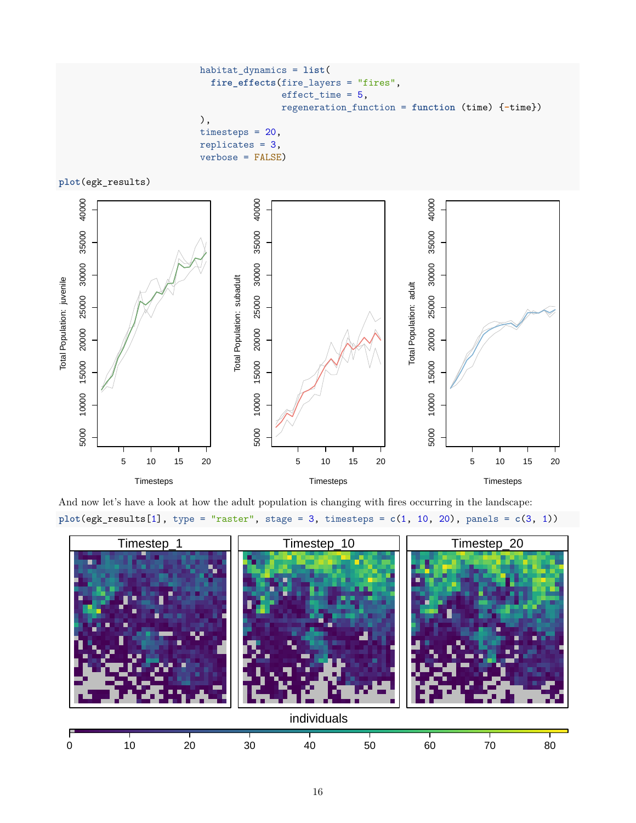```
habitat_dynamics = list(
  fire_effects(fire_layers = "fires",
               effect_time = 5,regeneration_function = function (time) {-time})
),
timesteps = 20,
replicates = 3,
verbose = FALSE)
```
**plot**(egk\_results)



And now let's have a look at how the adult population is changing with fires occurring in the landscape: **plot**(egk\_results[1], type = "raster", stage = 3, timesteps = **c**(1, 10, 20), panels = **c**(3, 1))

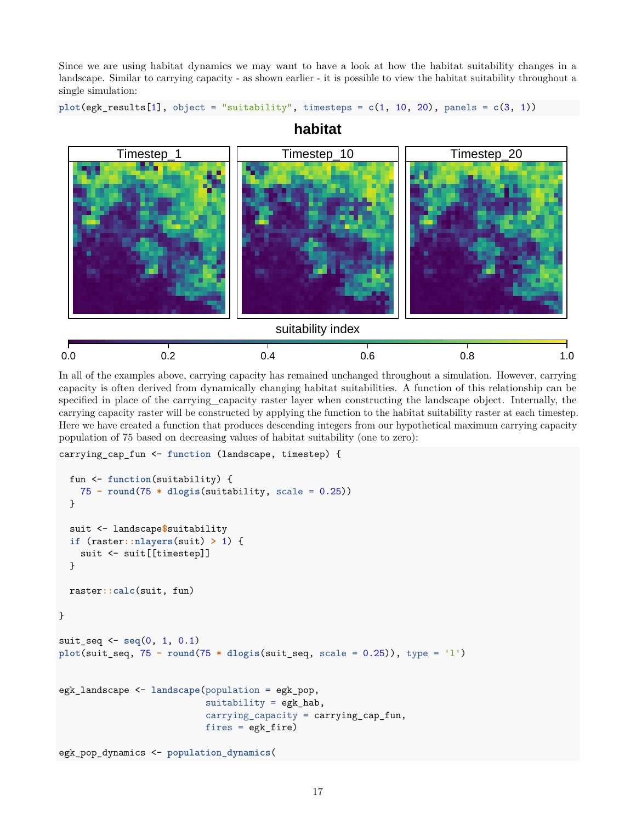Since we are using habitat dynamics we may want to have a look at how the habitat suitability changes in a landscape. Similar to carrying capacity - as shown earlier - it is possible to view the habitat suitability throughout a single simulation:

```
plot(egk_results[1], object = "suitability", timesteps = c(1, 10, 20), panels = c(3, 1))
```


**habitat**

In all of the examples above, carrying capacity has remained unchanged throughout a simulation. However, carrying capacity is often derived from dynamically changing habitat suitabilities. A function of this relationship can be specified in place of the carrying\_capacity raster layer when constructing the landscape object. Internally, the carrying capacity raster will be constructed by applying the function to the habitat suitability raster at each timestep. Here we have created a function that produces descending integers from our hypothetical maximum carrying capacity population of 75 based on decreasing values of habitat suitability (one to zero):

```
carrying_cap_fun <- function (landscape, timestep) {
```

```
fun <- function(suitability) {
    75 - round(75 * dlogis(suitability, scale = 0.25))
  }
  suit <- landscape$suitability
  if (raster::nlayers(suit) > 1) {
    suit <- suit [[timestep]]
  }
  raster::calc(suit, fun)
}
suit_seq <- seq(0, 1, 0.1)
plot(suit_seq, 75 - round(75 * dlogis(suit_seq, scale = 0.25)), type = 'l')
egk_landscape <- landscape(population = egk_pop,
                           suitability = egk_hab,
                           carrying_capacity = carrying_cap_fun,
                           fires = egk_fire)
egk_pop_dynamics <- population_dynamics(
```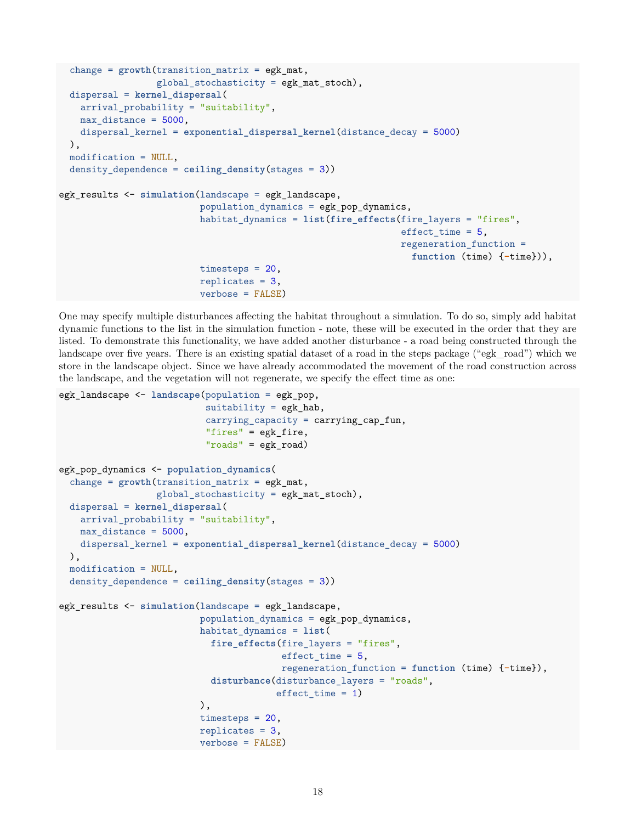```
change = growth(transition matrix = egk mat,global stochasticity = egk mat stoch),
  dispersal = kernel_dispersal(
    arrival_probability = "suitability",
   max_distance = 5000,
   dispersal_kernel = exponential_dispersal_kernel(distance_decay = 5000)
  ),
 modification = NULL,
 density_dependence = ceiling_density(stages = 3))
egk_results <- simulation(landscape = egk_landscape,
                          population_dynamics = egk_pop_dynamics,
                          habitat_dynamics = list(fire_effects(fire_layers = "fires",
                                                                effect time = 5,
                                                                regeneration function =
                                                                  function (time) {-time})),
                          timesteps = 20,
                          replicates = 3,
                          verbose = FALSE)
```
One may specify multiple disturbances affecting the habitat throughout a simulation. To do so, simply add habitat dynamic functions to the list in the simulation function - note, these will be executed in the order that they are listed. To demonstrate this functionality, we have added another disturbance - a road being constructed through the landscape over five years. There is an existing spatial dataset of a road in the steps package ("egk\_road") which we store in the landscape object. Since we have already accommodated the movement of the road construction across the landscape, and the vegetation will not regenerate, we specify the effect time as one:

```
egk_landscape <- landscape(population = egk_pop,
                           suitability = egk hab,
                           carrying_capacity = carrying_cap_fun,
                           "fires" = egk_fire,
                           "roads" = egk_road)
egk_pop_dynamics <- population_dynamics(
  change = growth(transition_matrix = egk_matrix,global_stochasticity = e g k_matrix stoch,dispersal = kernel_dispersal(
   arrival_probability = "suitability",
   max_distance = 5000,
   dispersal_kernel = exponential_dispersal_kernel(distance_decay = 5000)
 ),
 modification = NULL,
 density_dependence = ceiling_density(stages = 3))
egk_results <- simulation(landscape = egk_landscape,
                          population_dynamics = egk_pop_dynamics,
                          habitat_dynamics = list(
                            fire_effects(fire_layers = "fires",
                                          effect_time = 5,
                                          regeneration_function = function (time) {-time}),
                            disturbance(disturbance_layers = "roads",
                                         effect time = 1)
                          ),
                          timesteps = 20,
                          replicates = 3,
                          verbose = FALSE)
```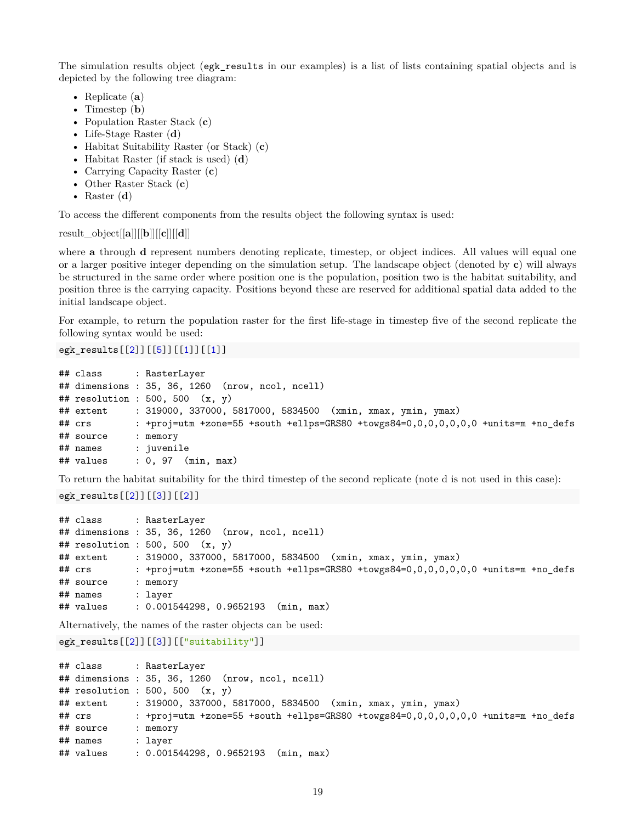The simulation results object (egk results in our examples) is a list of lists containing spatial objects and is depicted by the following tree diagram:

- Replicate (**a**)
- Timestep (**b**)
- Population Raster Stack (**c**)
- Life-Stage Raster (**d**)
- Habitat Suitability Raster (or Stack) (**c**)
- Habitat Raster (if stack is used) (**d**)
- Carrying Capacity Raster (**c**)
- Other Raster Stack (**c**)
- Raster (**d**)

To access the different components from the results object the following syntax is used:

result\_object[[**a**]][[**b**]][[**c**]][[**d**]]

where **a** through **d** represent numbers denoting replicate, timestep, or object indices. All values will equal one or a larger positive integer depending on the simulation setup. The landscape object (denoted by **c**) will always be structured in the same order where position one is the population, position two is the habitat suitability, and position three is the carrying capacity. Positions beyond these are reserved for additional spatial data added to the initial landscape object.

For example, to return the population raster for the first life-stage in timestep five of the second replicate the following syntax would be used:

## egk\_results[[2]][[5]][[1]][[1]]

```
## class : RasterLayer
## dimensions : 35, 36, 1260 (nrow, ncol, ncell)
## resolution : 500, 500 (x, y)## extent : 319000, 337000, 5817000, 5834500 (xmin, xmax, ymin, ymax)
## crs : +proj=utm +zone=55 +south +ellps=GRS80 +towgs84=0,0,0,0,0,0,0 +units=m +no_defs
## source : memory
## names : juvenile
## values : 0, 97 (min, max)
```
To return the habitat suitability for the third timestep of the second replicate (note d is not used in this case):

egk\_results[[2]][[3]][[2]]

| ## class  | : RasterLayer                                                                     |
|-----------|-----------------------------------------------------------------------------------|
|           | ## dimensions : 35, 36, 1260 (nrow, ncol, ncell)                                  |
|           | ## resolution : 500, 500 $(x, y)$                                                 |
| ## extent | : 319000, 337000, 5817000, 5834500 (xmin, xmax, ymin, ymax)                       |
| ## crs    | : +proj=utm +zone=55 +south +ellps=GRS80 +towgs84=0,0,0,0,0,0,0 +units=m +no_defs |
| ## source | : memory                                                                          |
| ## names  | : laver                                                                           |
| ## values | $: 0.001544298, 0.9652193$ (min, max)                                             |

Alternatively, the names of the raster objects can be used:

```
egk results[[2]][[3]][["suitability"]]
```

```
## class : RasterLayer
## dimensions : 35, 36, 1260 (nrow, ncol, ncell)
## resolution : 500, 500 (x, y)## extent : 319000, 337000, 5817000, 5834500 (xmin, xmax, ymin, ymax)
## crs : +proj=utm +zone=55 +south +ellps=GRS80 +towgs84=0,0,0,0,0,0,0 +units=m +no_defs
## source : memory
## names : layer
## values : 0.001544298, 0.9652193 (min, max)
```